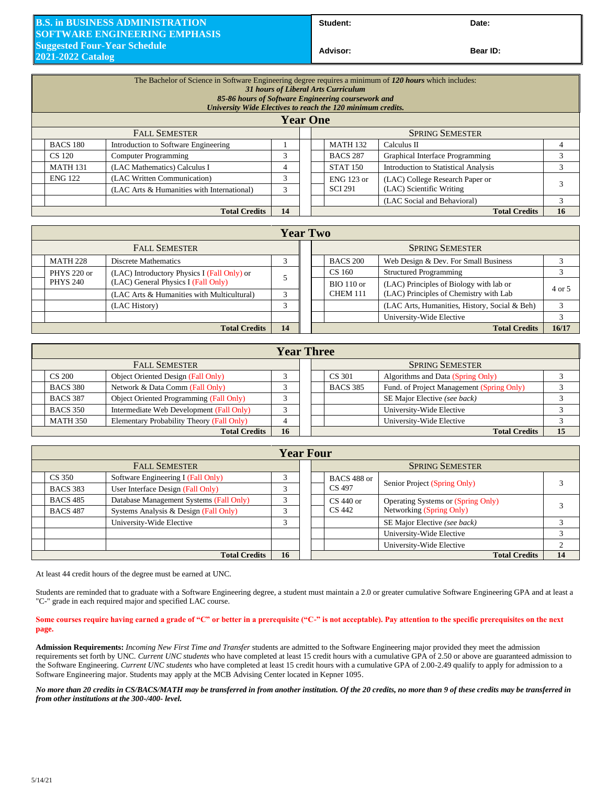## **B.S. in BUSINESS ADMINISTRATION SOFTWARE ENGINEERING EMPHASIS Suggested Four-Year Schedule 2021-2022 Catalog**

Student: Date:

**Bear ID:** 

| The Bachelor of Science in Software Engineering degree requires a minimum of 120 hours which includes:<br>31 hours of Liberal Arts Curriculum<br>85-86 hours of Software Engineering coursework and<br>University Wide Electives to reach the 120 minimum credits.<br><b>Year One</b> |                                            |               |  |                                                      |                                             |    |  |
|---------------------------------------------------------------------------------------------------------------------------------------------------------------------------------------------------------------------------------------------------------------------------------------|--------------------------------------------|---------------|--|------------------------------------------------------|---------------------------------------------|----|--|
| <b>FALL SEMESTER</b>                                                                                                                                                                                                                                                                  |                                            |               |  | <b>SPRING SEMESTER</b>                               |                                             |    |  |
| <b>BACS 180</b>                                                                                                                                                                                                                                                                       | Introduction to Software Engineering       |               |  | <b>MATH 132</b>                                      | Calculus II                                 |    |  |
| CS 120                                                                                                                                                                                                                                                                                | <b>Computer Programming</b>                | 3             |  | <b>BACS 287</b>                                      | Graphical Interface Programming             |    |  |
| <b>MATH 131</b>                                                                                                                                                                                                                                                                       | (LAC Mathematics) Calculus I               | 4             |  | <b>STAT 150</b>                                      | <b>Introduction to Statistical Analysis</b> |    |  |
| (LAC Written Communication)<br><b>ENG 122</b>                                                                                                                                                                                                                                         |                                            | 3             |  | (LAC) College Research Paper or<br><b>ENG 123 or</b> |                                             |    |  |
|                                                                                                                                                                                                                                                                                       | (LAC Arts & Humanities with International) | $\mathcal{R}$ |  | <b>SCI 291</b>                                       | (LAC) Scientific Writing                    |    |  |
|                                                                                                                                                                                                                                                                                       |                                            |               |  |                                                      | (LAC Social and Behavioral)                 |    |  |
|                                                                                                                                                                                                                                                                                       | <b>Total Credits</b>                       | 14            |  |                                                      | <b>Total Credits</b>                        | 16 |  |

|                      | <b>Year Two</b>      |                                             |  |  |  |                        |                                               |        |
|----------------------|----------------------|---------------------------------------------|--|--|--|------------------------|-----------------------------------------------|--------|
| <b>FALL SEMESTER</b> |                      |                                             |  |  |  | <b>SPRING SEMESTER</b> |                                               |        |
|                      | <b>MATH 228</b>      | <b>Discrete Mathematics</b>                 |  |  |  | <b>BACS 200</b>        | Web Design & Dev. For Small Business          |        |
|                      | PHYS 220 or          | (LAC) Introductory Physics I (Fall Only) or |  |  |  | CS 160                 | <b>Structured Programming</b>                 |        |
|                      | <b>PHYS 240</b>      | (LAC) General Physics I (Fall Only)         |  |  |  | <b>BIO</b> 110 or      | (LAC) Principles of Biology with lab or       | 4 or 5 |
|                      |                      | (LAC Arts & Humanities with Multicultural)  |  |  |  | <b>CHEM 111</b>        | (LAC) Principles of Chemistry with Lab        |        |
|                      |                      | (LAC History)                               |  |  |  |                        | (LAC Arts, Humanities, History, Social & Beh) |        |
|                      |                      |                                             |  |  |  |                        | University-Wide Elective                      |        |
|                      | <b>Total Credits</b> |                                             |  |  |  |                        | <b>Total Credits</b>                          | 16/17  |

| <b>Year Three</b>          |                                           |  |  |  |                        |                                           |    |  |
|----------------------------|-------------------------------------------|--|--|--|------------------------|-------------------------------------------|----|--|
| <b>FALL SEMESTER</b>       |                                           |  |  |  | <b>SPRING SEMESTER</b> |                                           |    |  |
| <b>CS 200</b>              | <b>Object Oriented Design (Fall Only)</b> |  |  |  | CS 301                 | Algorithms and Data (Spring Only)         |    |  |
| <b>BACS 380</b>            | Network & Data Comm (Fall Only)           |  |  |  | <b>BACS 385</b>        | Fund. of Project Management (Spring Only) |    |  |
| <b>BACS 387</b>            | Object Oriented Programming (Fall Only)   |  |  |  |                        | SE Major Elective (see back)              |    |  |
| <b>BACS 350</b>            | Intermediate Web Development (Fall Only)  |  |  |  |                        | University-Wide Elective                  |    |  |
| <b>MATH 350</b>            | Elementary Probability Theory (Fall Only) |  |  |  |                        | University-Wide Elective                  |    |  |
| 16<br><b>Total Credits</b> |                                           |  |  |  |                        | <b>Total Credits</b>                      | 15 |  |

| <b>Year Four</b>     |                                         |        |  |                       |                                    |    |  |
|----------------------|-----------------------------------------|--------|--|-----------------------|------------------------------------|----|--|
| <b>FALL SEMESTER</b> |                                         |        |  |                       | <b>SPRING SEMESTER</b>             |    |  |
| CS 350               | Software Engineering I (Fall Only)      | $\sim$ |  | BACS 488 or<br>CS 497 | Senior Project (Spring Only)       |    |  |
| <b>BACS 383</b>      | User Interface Design (Fall Only)       |        |  |                       |                                    |    |  |
| <b>BACS 485</b>      | Database Management Systems (Fall Only) |        |  | $CS$ 440 or           | Operating Systems or (Spring Only) |    |  |
| <b>BACS 487</b>      | Systems Analysis & Design (Fall Only)   |        |  | CS 442                | Networking (Spring Only)           |    |  |
|                      | University-Wide Elective                |        |  |                       | SE Major Elective (see back)       |    |  |
|                      |                                         |        |  |                       | University-Wide Elective           |    |  |
|                      |                                         |        |  |                       | University-Wide Elective           |    |  |
| <b>Total Credits</b> |                                         |        |  |                       | <b>Total Credits</b>               | 14 |  |

At least 44 credit hours of the degree must be earned at UNC.

Students are reminded that to graduate with a Software Engineering degree, a student must maintain a 2.0 or greater cumulative Software Engineering GPA and at least a "C-" grade in each required major and specified LAC course.

## **Some courses require having earned a grade of "C" or better in a prerequisite ("C-" is not acceptable). Pay attention to the specific prerequisites on the next page.**

**Admission Requirements:** *Incoming New First Time and Transfer* students are admitted to the Software Engineering major provided they meet the admission requirements set forth by UNC. *Current UNC students* who have completed at least 15 credit hours with a cumulative GPA of 2.50 or above are guaranteed admission to the Software Engineering. *Current UNC students* who have completed at least 15 credit hours with a cumulative GPA of 2.00-2.49 qualify to apply for admission to a Software Engineering major. Students may apply at the MCB Advising Center located in Kepner 1095.

*No more than 20 credits in CS/BACS/MATH may be transferred in from another institution. Of the 20 credits, no more than 9 of these credits may be transferred in from other institutions at the 300-/400- level.*